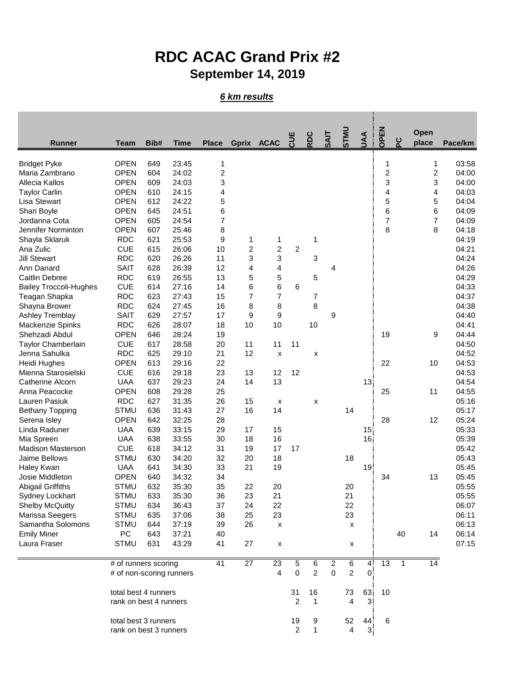## **RDC ACAC Grand Prix #2 September 14, 2019**

## *6 km results*

|                                           |                           |            |             |                |                         |                    |                |                |             |                    |                 |                |     | Open            |         |
|-------------------------------------------|---------------------------|------------|-------------|----------------|-------------------------|--------------------|----------------|----------------|-------------|--------------------|-----------------|----------------|-----|-----------------|---------|
| <b>Runner</b>                             | <b>Team</b>               | Bib#       | <b>Time</b> | <b>Place</b>   | Gprix ACAC              |                    | <b>UUL</b>     | RDC            | <b>SAIT</b> | <b>OINLS</b>       | JAA             | OPEN           | ပ္စ | place           | Pace/km |
| <b>Bridget Pyke</b>                       | <b>OPEN</b>               | 649        | 23:45       | 1              |                         |                    |                |                |             |                    |                 | 1              |     | 1               | 03:58   |
| Maria Zambrano                            | <b>OPEN</b>               | 604        | 24:02       | $\overline{c}$ |                         |                    |                |                |             |                    |                 | $\overline{c}$ |     | 2               | 04:00   |
| Allecia Kallos                            | <b>OPEN</b>               | 609        | 24:03       | 3              |                         |                    |                |                |             |                    |                 | 3              |     | 3               | 04:00   |
| <b>Taylor Carlin</b>                      | <b>OPEN</b>               | 610        | 24:15       | 4              |                         |                    |                |                |             |                    |                 | 4              |     | 4               | 04:03   |
| Lisa Stewart                              | <b>OPEN</b>               | 612        | 24:22       | 5              |                         |                    |                |                |             |                    |                 | 5              |     | 5               | 04:04   |
| Shari Boyle                               | <b>OPEN</b>               | 645        | 24:51       | 6              |                         |                    |                |                |             |                    |                 | 6              |     | 6               | 04:09   |
| Jordanna Cota                             | <b>OPEN</b>               | 605        | 24:54       | 7              |                         |                    |                |                |             |                    |                 | 7              |     | 7               | 04:09   |
| Jennifer Norminton                        | <b>OPEN</b>               | 607        | 25:46       | 8              |                         |                    |                |                |             |                    |                 | 8              |     | 8               | 04:18   |
| Shayla Sklaruk                            | <b>RDC</b>                | 621        | 25:53       | 9              | 1                       | 1                  |                | 1              |             |                    |                 |                |     |                 | 04:19   |
| Ana Zulic                                 | <b>CUE</b>                | 615        | 26:06       | 10             | $\overline{\mathbf{c}}$ | $\overline{c}$     | $\overline{c}$ |                |             |                    |                 |                |     |                 | 04:21   |
| <b>Jill Stewart</b>                       | <b>RDC</b>                | 620        | 26:26       | 11             | 3                       | 3                  |                | 3              |             |                    |                 |                |     |                 | 04:24   |
| Ann Danard                                | <b>SAIT</b>               | 628        | 26:39       | 12             | 4                       | 4                  |                |                | 4           |                    |                 |                |     |                 | 04:26   |
| <b>Caitlin Debree</b>                     | <b>RDC</b>                | 619        | 26:55       | 13             | 5                       | 5                  |                | 5              |             |                    |                 |                |     |                 | 04:29   |
| <b>Bailey Troccoli-Hughes</b>             | <b>CUE</b>                | 614        | 27:16       | 14             | 6                       | 6                  | 6              |                |             |                    |                 |                |     |                 | 04:33   |
| Teagan Shapka                             | <b>RDC</b>                | 623        | 27:43       | 15             | $\overline{7}$          | $\overline{7}$     |                | 7              |             |                    |                 |                |     |                 | 04:37   |
| Shayna Brower                             | <b>RDC</b>                | 624        | 27:45       | 16             | 8                       | 8                  |                | 8              |             |                    |                 |                |     |                 | 04:38   |
| Ashley Tremblay                           | <b>SAIT</b>               | 629        | 27:57       | 17             | 9                       | 9                  |                |                | 9           |                    |                 |                |     |                 | 04:40   |
| Mackenzie Spinks                          | <b>RDC</b>                | 626        | 28:07       | 18             | 10                      | 10                 |                | 10             |             |                    |                 |                |     |                 | 04:41   |
| Shehzadi Abdul                            | <b>OPEN</b>               | 646        | 28:24       | 19             |                         |                    |                |                |             |                    |                 | 19             |     | 9               | 04:44   |
| <b>Taylor Chamberlain</b>                 | <b>CUE</b>                | 617        | 28:58       | 20             | 11                      | 11                 | 11             |                |             |                    |                 |                |     |                 | 04:50   |
| Jenna Sahulka                             | <b>RDC</b>                | 625        | 29:10       | 21             | 12                      |                    |                |                |             |                    |                 |                |     |                 | 04:52   |
|                                           | <b>OPEN</b>               | 613        | 29:16       | 22             |                         | X                  |                | x              |             |                    |                 | 22             |     | 10              | 04:53   |
| Heidi Hughes<br>Mienna Starosielski       | <b>CUE</b>                | 616        | 29:18       | 23             | 13                      | 12                 | 12             |                |             |                    |                 |                |     |                 | 04:53   |
| Catherine Alcorn                          | <b>UAA</b>                | 637        | 29:23       | 24             | 14                      | 13                 |                |                |             |                    | 13 <sup>°</sup> |                |     |                 | 04:54   |
| Anna Peacocke                             | <b>OPEN</b>               | 608        | 29:28       | 25             |                         |                    |                |                |             |                    |                 | 25             |     | 11              | 04:55   |
| Lauren Pasiuk                             | <b>RDC</b>                | 627        | 31:35       | 26             | 15                      |                    |                |                |             |                    |                 |                |     |                 | 05:16   |
|                                           |                           |            |             |                |                         | x                  |                | X              |             |                    |                 |                |     |                 |         |
| <b>Bethany Topping</b>                    | <b>STMU</b>               | 636        | 31:43       | 27             | 16                      | 14                 |                |                |             | 14                 |                 |                |     |                 | 05:17   |
| Serena Isley                              | <b>OPEN</b>               | 642<br>639 | 32:25       | 28             |                         |                    |                |                |             |                    |                 | 28             |     | 12              | 05:24   |
| Linda Raduner                             | <b>UAA</b>                |            | 33:15       | 29             | 17                      | 15                 |                |                |             |                    | 15 <sub>1</sub> |                |     |                 | 05:33   |
| Mia Spreen                                | <b>UAA</b>                | 638        | 33:55       | 30             | 18                      | 16                 |                |                |             |                    | 16 <sup>1</sup> |                |     |                 | 05:39   |
| <b>Madison Masterson</b><br>Jaime Bellows | <b>CUE</b><br><b>STMU</b> | 618        | 34:12       | 31             | 19                      | 17                 | 17             |                |             |                    |                 |                |     |                 | 05:42   |
|                                           |                           | 630        | 34:20       | 32             | 20<br>21                | 18                 |                |                |             | 18                 |                 |                |     |                 | 05:43   |
| Haley Kwan<br>Josie Middleton             | <b>UAA</b>                | 641        | 34:30       | 33             |                         | 19                 |                |                |             |                    | 19 <sup>1</sup> | 34             |     |                 | 05:45   |
|                                           | <b>OPEN</b>               | 640        | 34:32       | 34             |                         |                    |                |                |             |                    |                 |                |     | 13              | 05:45   |
| <b>Abigail Griffiths</b>                  | <b>STMU</b>               | 632        | 35:30       | 35             | 22                      | 20                 |                |                |             | 20                 |                 |                |     |                 | 05:55   |
| <b>Sydney Lockhart</b>                    | <b>STMU</b>               | 633        | 35:30       | 36             | 23                      | 21                 |                |                |             | 21                 |                 |                |     |                 | 05:55   |
| <b>Shelby McQuitty</b>                    | STMU                      | 634        | 36:43       | 37             | 24                      | 22                 |                |                |             | 22                 |                 |                |     |                 | 06:07   |
| Marissa Seegers                           | <b>STMU</b>               | 635        | 37:06       | 38             | 25                      | 23                 |                |                |             | 23                 |                 |                |     |                 | 06:11   |
| Samantha Solomons                         | <b>STMU</b>               | 644        | 37:19       | 39             | 26                      | X                  |                |                |             | X                  |                 |                |     |                 | 06:13   |
| <b>Emily Miner</b>                        | PC                        | 643        | 37:21       | 40             |                         |                    |                |                |             |                    |                 |                | 40  | 14              | 06:14   |
| Laura Fraser                              | <b>STMU</b>               | 631        | 43:29       | 41             | 27                      | $\pmb{\mathsf{x}}$ |                |                |             | $\pmb{\mathsf{x}}$ |                 |                |     |                 | 07:15   |
|                                           | # of runners scoring      |            |             | 41             | 27                      | 23                 | 5              | 6              | 2           | $6 \overline{}$    | $\overline{4}$  | 13             | 1   | $\overline{14}$ |         |
|                                           | # of non-scoring runners  |            |             |                |                         | 4                  | $\mathbf 0$    | $\overline{2}$ | $\mathbf 0$ | $\overline{c}$     | 0               |                |     |                 |         |
|                                           | total best 4 runners      |            |             |                |                         |                    | 31             | 16             |             | 73                 | 63              | 10             |     |                 |         |
|                                           | rank on best 4 runners    |            |             |                |                         |                    | $\mathbf{2}$   | 1              |             | 4                  | 3 <sup>1</sup>  |                |     |                 |         |
|                                           | total best 3 runners      |            |             |                |                         |                    | 19             | 9              |             | 52                 | 44              | 6              |     |                 |         |
|                                           | rank on best 3 runners    |            |             |                |                         |                    | $\overline{2}$ | 1              |             | 4                  | 3 <sup>1</sup>  |                |     |                 |         |